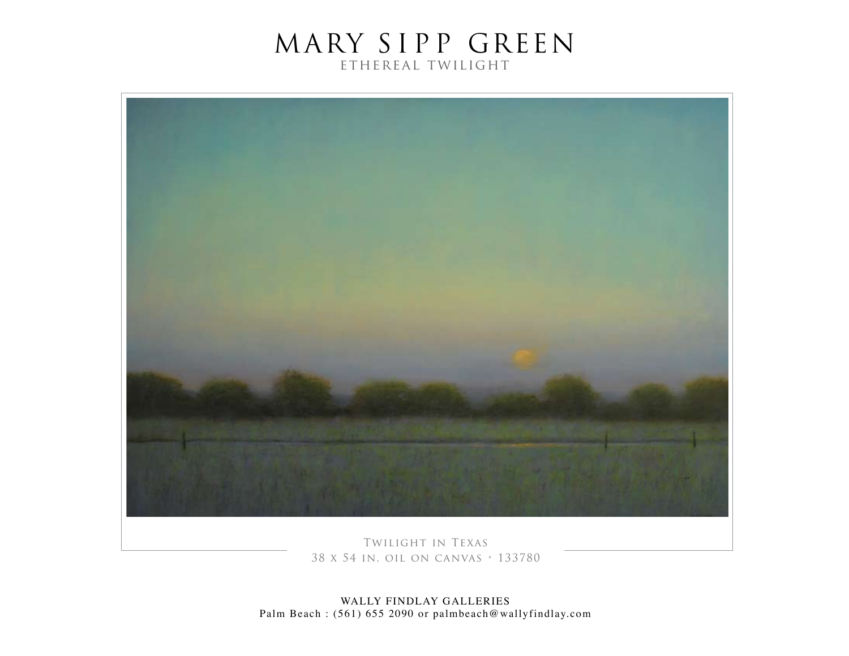

Twilight in Texas 38 x 54 in. oil on canvas • 133780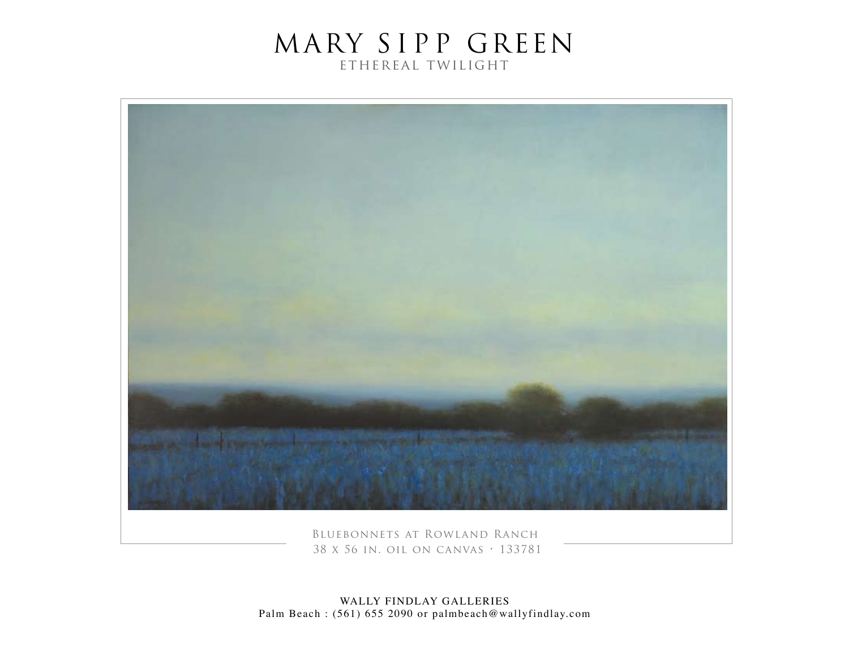

Bluebonnets at Rowland Ranch 38 x 56 in. oil on canvas • 133781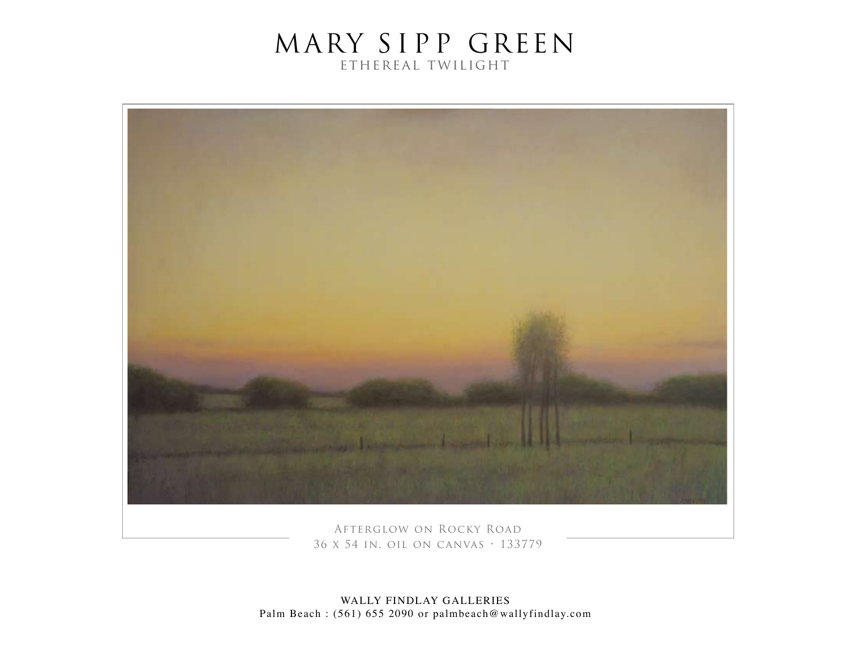

Afterglow on Rocky Road 36 x 54 in. oil on canvas • 133779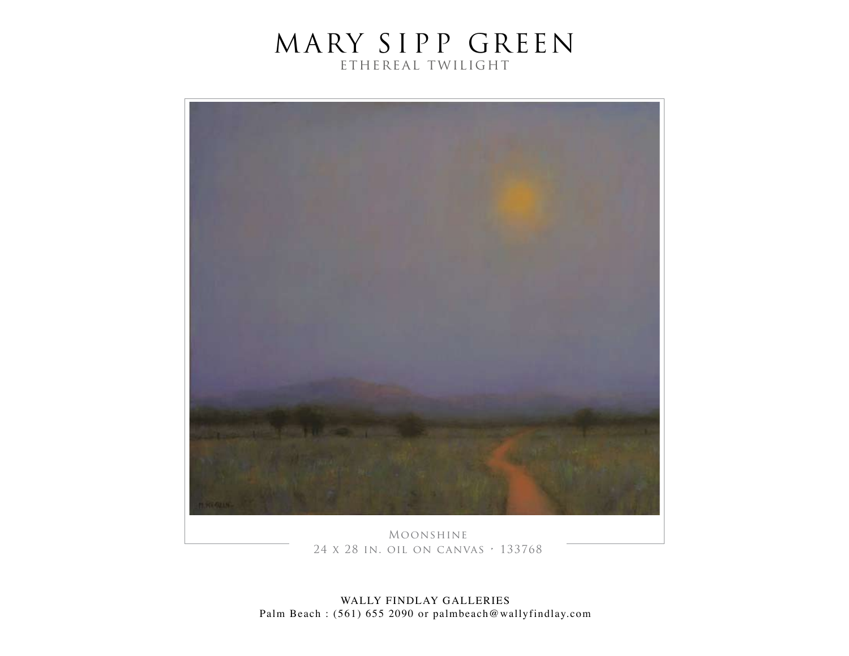

Moonshine 24 x 28 in. oil on canvas • 133768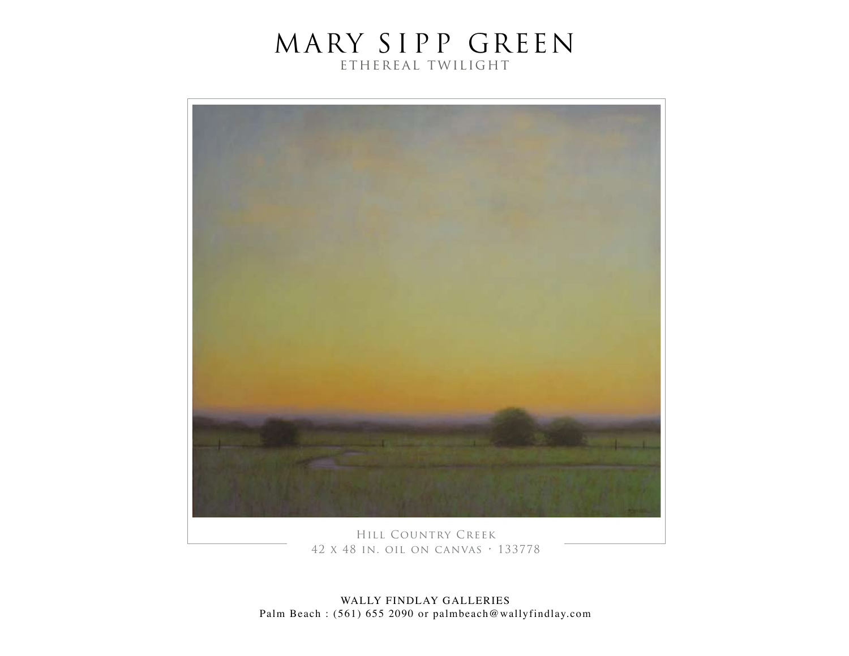

Hill Country Creek 42 x 48 in. oil on canvas • 133778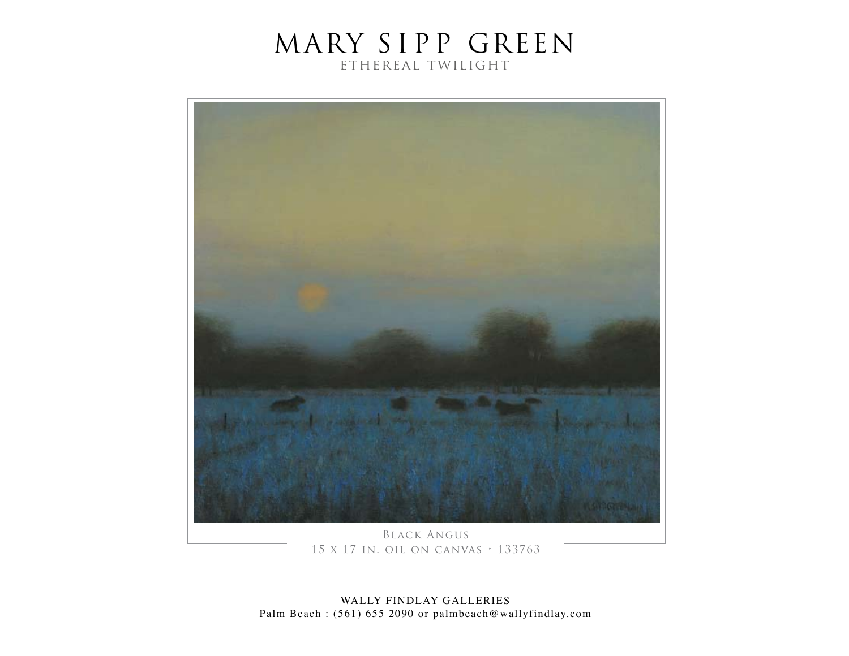

Black Angus 15 x 17 in. oil on canvas • 133763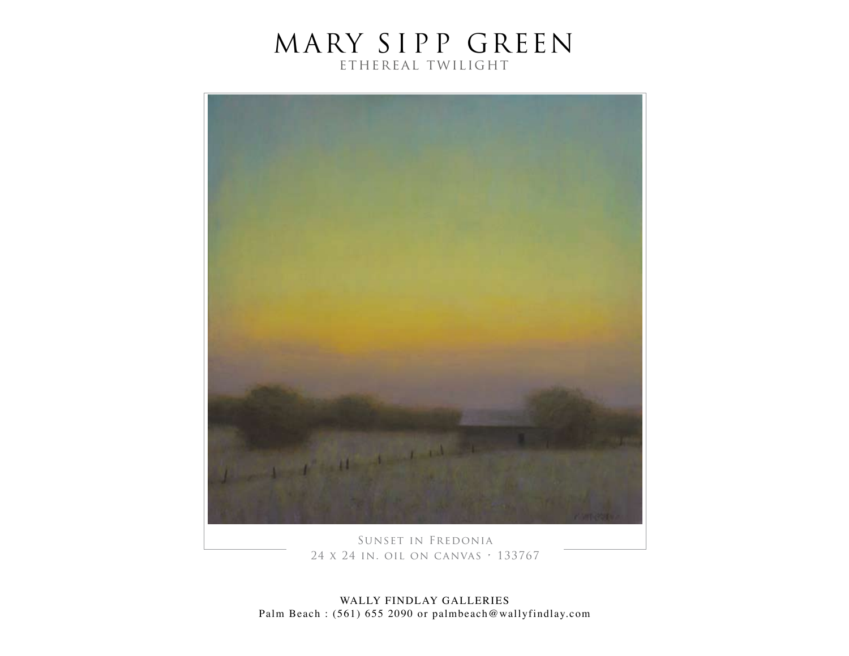

Sunset in Fredonia 24 x 24 in. oil on canvas • 133767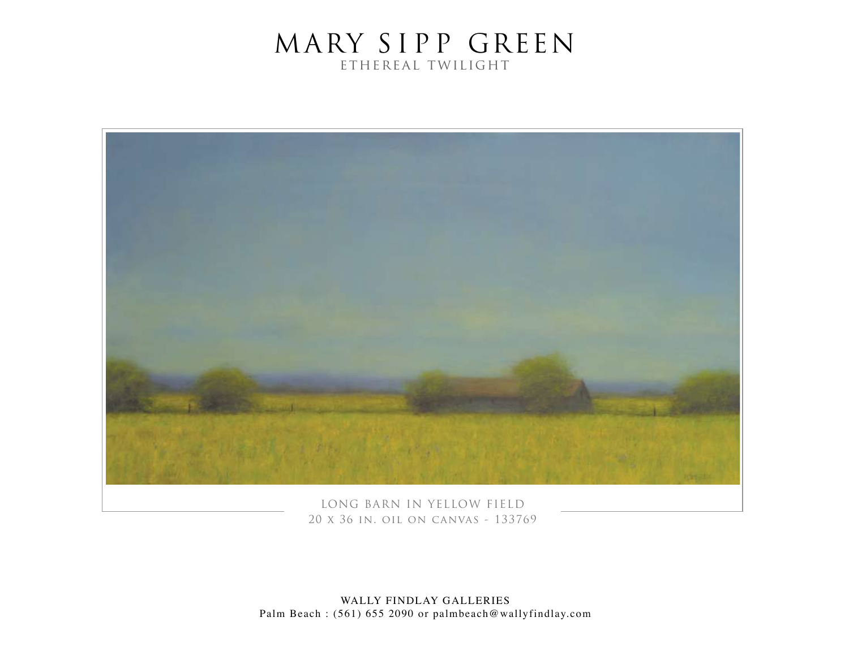

LONG BARN IN YELLOW FIELD 20 x 36 in. oil on canvas - 133769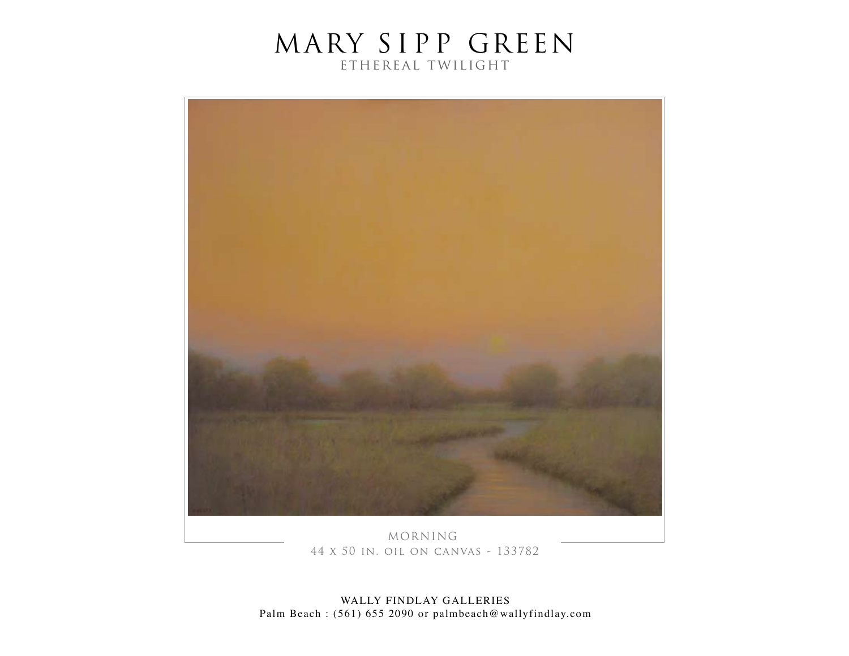

MORNING 44 x 50 in. oil on canvas - 133782